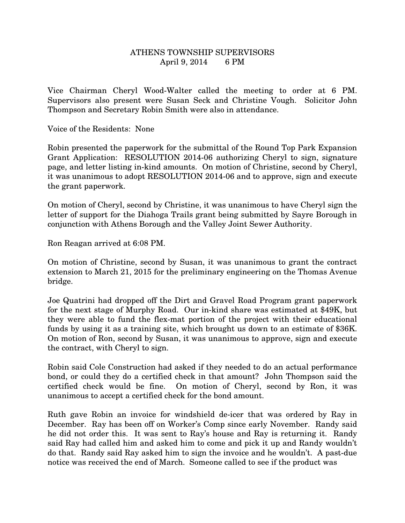## ATHENS TOWNSHIP SUPERVISORS April 9, 2014 6 PM

Vice Chairman Cheryl Wood-Walter called the meeting to order at 6 PM. Supervisors also present were Susan Seck and Christine Vough. Solicitor John Thompson and Secretary Robin Smith were also in attendance.

Voice of the Residents: None

Robin presented the paperwork for the submittal of the Round Top Park Expansion Grant Application: RESOLUTION 2014-06 authorizing Cheryl to sign, signature page, and letter listing in-kind amounts. On motion of Christine, second by Cheryl, it was unanimous to adopt RESOLUTION 2014-06 and to approve, sign and execute the grant paperwork.

On motion of Cheryl, second by Christine, it was unanimous to have Cheryl sign the letter of support for the Diahoga Trails grant being submitted by Sayre Borough in conjunction with Athens Borough and the Valley Joint Sewer Authority.

Ron Reagan arrived at 6:08 PM.

On motion of Christine, second by Susan, it was unanimous to grant the contract extension to March 21, 2015 for the preliminary engineering on the Thomas Avenue bridge.

Joe Quatrini had dropped off the Dirt and Gravel Road Program grant paperwork for the next stage of Murphy Road. Our in-kind share was estimated at \$49K, but they were able to fund the flex-mat portion of the project with their educational funds by using it as a training site, which brought us down to an estimate of \$36K. On motion of Ron, second by Susan, it was unanimous to approve, sign and execute the contract, with Cheryl to sign.

Robin said Cole Construction had asked if they needed to do an actual performance bond, or could they do a certified check in that amount? John Thompson said the certified check would be fine. On motion of Cheryl, second by Ron, it was unanimous to accept a certified check for the bond amount.

Ruth gave Robin an invoice for windshield de-icer that was ordered by Ray in December. Ray has been off on Worker's Comp since early November. Randy said he did not order this. It was sent to Ray's house and Ray is returning it. Randy said Ray had called him and asked him to come and pick it up and Randy wouldn't do that. Randy said Ray asked him to sign the invoice and he wouldn't. A past-due notice was received the end of March. Someone called to see if the product was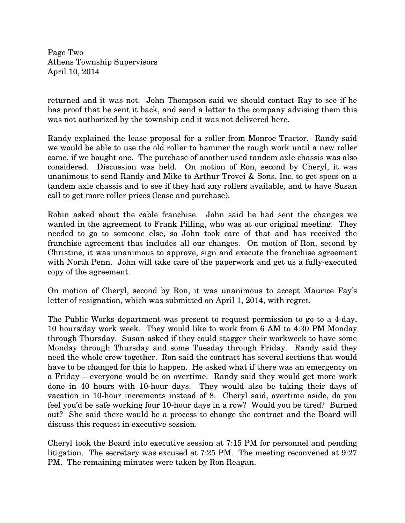Page Two Athens Township Supervisors April 10, 2014

returned and it was not. John Thompson said we should contact Ray to see if he has proof that he sent it back, and send a letter to the company advising them this was not authorized by the township and it was not delivered here.

Randy explained the lease proposal for a roller from Monroe Tractor. Randy said we would be able to use the old roller to hammer the rough work until a new roller came, if we bought one. The purchase of another used tandem axle chassis was also considered. Discussion was held. On motion of Ron, second by Cheryl, it was unanimous to send Randy and Mike to Arthur Trovei & Sons, Inc. to get specs on a tandem axle chassis and to see if they had any rollers available, and to have Susan call to get more roller prices (lease and purchase).

Robin asked about the cable franchise. John said he had sent the changes we wanted in the agreement to Frank Pilling, who was at our original meeting. They needed to go to someone else, so John took care of that and has received the franchise agreement that includes all our changes. On motion of Ron, second by Christine, it was unanimous to approve, sign and execute the franchise agreement with North Penn. John will take care of the paperwork and get us a fully-executed copy of the agreement.

On motion of Cheryl, second by Ron, it was unanimous to accept Maurice Fay's letter of resignation, which was submitted on April 1, 2014, with regret.

The Public Works department was present to request permission to go to a 4-day, 10 hours/day work week. They would like to work from 6 AM to 4:30 PM Monday through Thursday. Susan asked if they could stagger their workweek to have some Monday through Thursday and some Tuesday through Friday. Randy said they need the whole crew together. Ron said the contract has several sections that would have to be changed for this to happen. He asked what if there was an emergency on a Friday – everyone would be on overtime. Randy said they would get more work done in 40 hours with 10-hour days. They would also be taking their days of vacation in 10-hour increments instead of 8. Cheryl said, overtime aside, do you feel you'd be safe working four 10-hour days in a row? Would you be tired? Burned out? She said there would be a process to change the contract and the Board will discuss this request in executive session.

Cheryl took the Board into executive session at 7:15 PM for personnel and pending litigation. The secretary was excused at 7:25 PM. The meeting reconvened at 9:27 PM. The remaining minutes were taken by Ron Reagan.